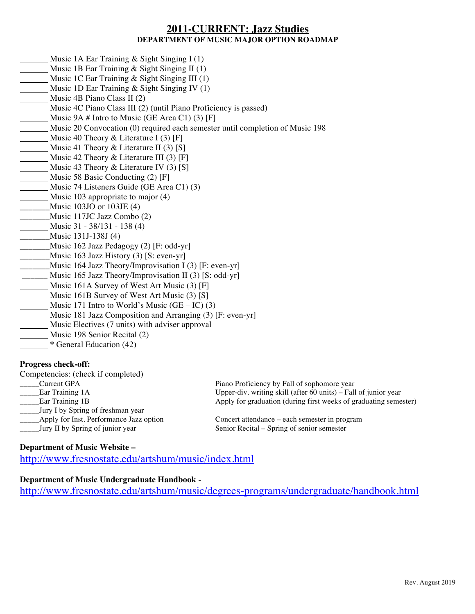# **2011-CURRENT: Jazz Studies DEPARTMENT OF MUSIC MAJOR OPTION ROADMAP**

- Music 1A Ear Training  $&$  Sight Singing I (1)
- Music 1B Ear Training & Sight Singing II (1)
- Music 1C Ear Training & Sight Singing III (1)
- Music 1D Ear Training & Sight Singing IV (1)
- **Music 4B Piano Class II (2)**
- Music 4C Piano Class III (2) (until Piano Proficiency is passed)
- Music 9A  $#$  Intro to Music (GE Area C1) (3) [F]
- Music 20 Convocation (0) required each semester until completion of Music 198
- Music 40 Theory & Literature I (3) [F]
- Music 41 Theory & Literature II (3) [S]
- Music 42 Theory & Literature III (3) [F]
- Music 43 Theory & Literature IV  $(3)$  [S]
- Music 58 Basic Conducting (2) [F]
- Music 74 Listeners Guide (GE Area C1) (3)
- **Music 103 appropriate to major (4)**
- $\frac{Music 103JO}{103JE}$  (4)
- \_\_\_\_\_\_\_Music 117JC Jazz Combo (2)
- Music 31 38/131 138 (4)
- \_\_\_\_\_\_\_Music 131J-138J (4)
- \_\_\_\_\_\_\_Music 162 Jazz Pedagogy (2) [F: odd-yr]
- $\frac{Music 163 \text{ Jazz History (3) [S: even-yr]}}{2}$
- \_\_\_\_\_\_\_Music 164 Jazz Theory/Improvisation I (3) [F: even-yr]
- \_\_\_\_\_\_ Music 165 Jazz Theory/Improvisation II (3) [S: odd-yr]
- Music 161A Survey of West Art Music (3) [F]
- Music 161B Survey of West Art Music (3) [S]
- Music 171 Intro to World's Music  $(GE IC)$  (3)
- Music 181 Jazz Composition and Arranging (3) [F: even-yr]
- Music Electives (7 units) with adviser approval
- Music 198 Senior Recital (2)
- **\*** General Education (42)

## **Progress check-off:**

| Competencies: (check if completed)      |                                                                   |
|-----------------------------------------|-------------------------------------------------------------------|
| Current GPA                             | Piano Proficiency by Fall of sophomore year                       |
| Ear Training 1A                         | Upper-div. writing skill (after $60$ units) – Fall of junior year |
| Ear Training 1B                         | Apply for graduation (during first weeks of graduating semester)  |
| Jury I by Spring of freshman year       |                                                                   |
| Apply for Inst. Performance Jazz option | Concert attendance – each semester in program                     |
| Jury II by Spring of junior year        | Senior Recital - Spring of senior semester                        |

## **Department of Music Website –**

http://www.fresnostate.edu/artshum/music/index.html

# **Department of Music Undergraduate Handbook -**

http://www.fresnostate.edu/artshum/music/degrees-programs/undergraduate/handbook.html